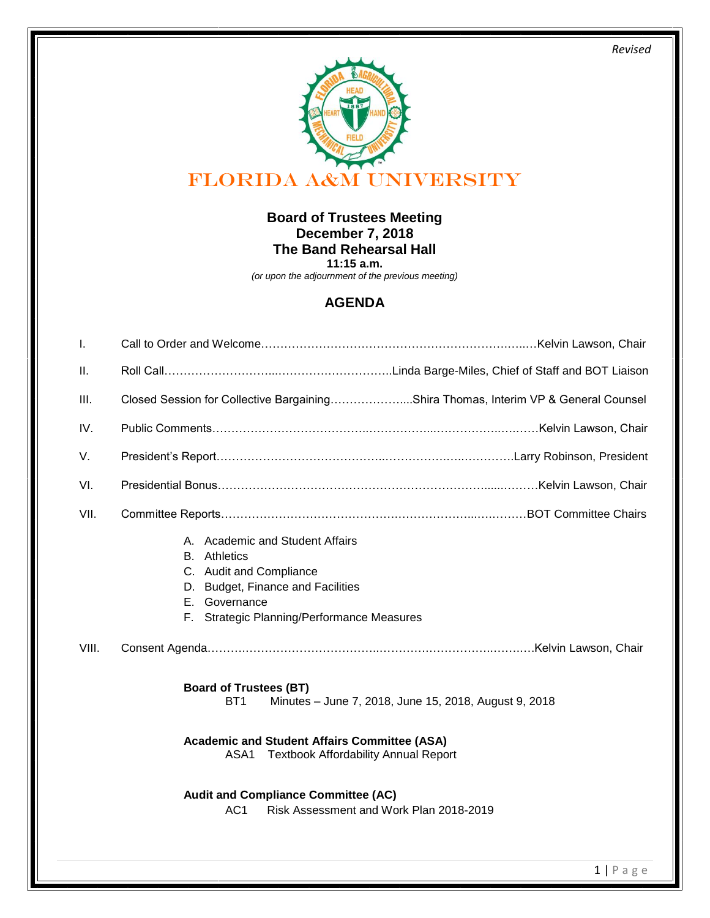*Revised* 



## **Board of Trustees Meeting December 7, 2018 The Band Rehearsal Hall 11:15 a.m.**

*(or upon the adjournment of the previous meeting)*

## **AGENDA**

| Ι.    |                                                                                                                                                                                                                                                                                                                                     |
|-------|-------------------------------------------------------------------------------------------------------------------------------------------------------------------------------------------------------------------------------------------------------------------------------------------------------------------------------------|
| Ш.    |                                                                                                                                                                                                                                                                                                                                     |
| III.  | Closed Session for Collective BargainingShira Thomas, Interim VP & General Counsel                                                                                                                                                                                                                                                  |
| IV.   |                                                                                                                                                                                                                                                                                                                                     |
| V.    |                                                                                                                                                                                                                                                                                                                                     |
| VI.   |                                                                                                                                                                                                                                                                                                                                     |
| VII.  |                                                                                                                                                                                                                                                                                                                                     |
|       | A. Academic and Student Affairs<br>Athletics<br>В.<br>C. Audit and Compliance<br>D. Budget, Finance and Facilities<br>E. Governance<br>F. Strategic Planning/Performance Measures                                                                                                                                                   |
| VIII. |                                                                                                                                                                                                                                                                                                                                     |
|       | <b>Board of Trustees (BT)</b><br>Minutes - June 7, 2018, June 15, 2018, August 9, 2018<br>BT <sub>1</sub><br><b>Academic and Student Affairs Committee (ASA)</b><br><b>Textbook Affordability Annual Report</b><br>ASA1<br><b>Audit and Compliance Committee (AC)</b><br>Risk Assessment and Work Plan 2018-2019<br>AC <sub>1</sub> |